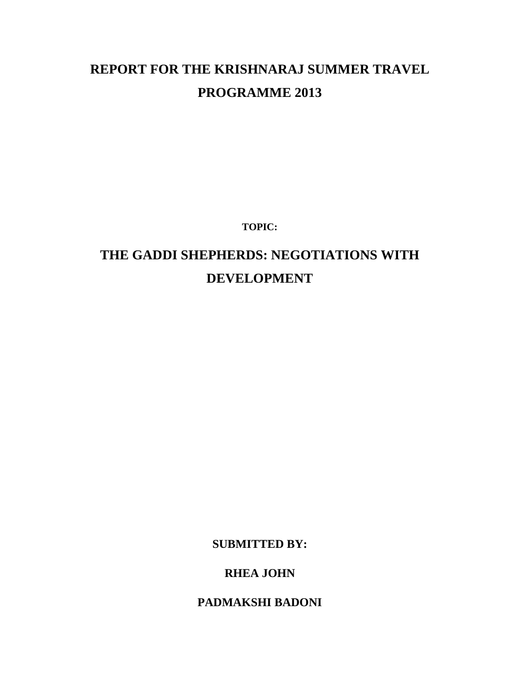# **REPORT FOR THE KRISHNARAJ SUMMER TRAVEL PROGRAMME 2013**

**TOPIC:**

# **THE GADDI SHEPHERDS: NEGOTIATIONS WITH DEVELOPMENT**

**SUBMITTED BY:**

**RHEA JOHN**

**PADMAKSHI BADONI**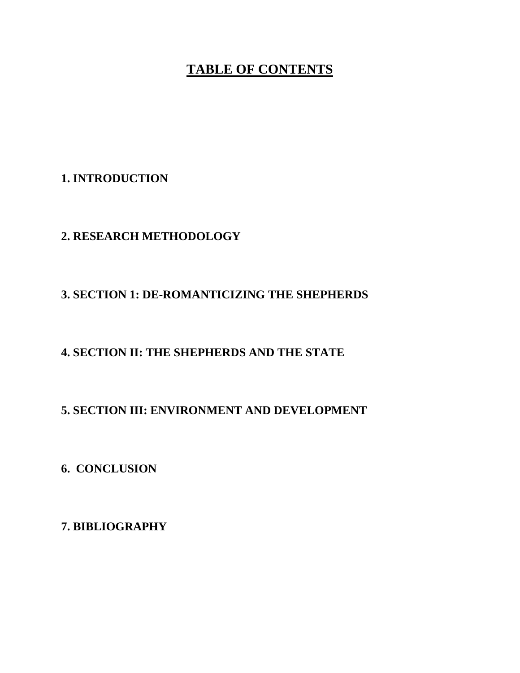# **TABLE OF CONTENTS**

## **1. INTRODUCTION**

# **2. RESEARCH METHODOLOGY**

# **3. SECTION 1: DE-ROMANTICIZING THE SHEPHERDS**

# **4. SECTION II: THE SHEPHERDS AND THE STATE**

# **5. SECTION III: ENVIRONMENT AND DEVELOPMENT**

# **6. CONCLUSION**

**7. BIBLIOGRAPHY**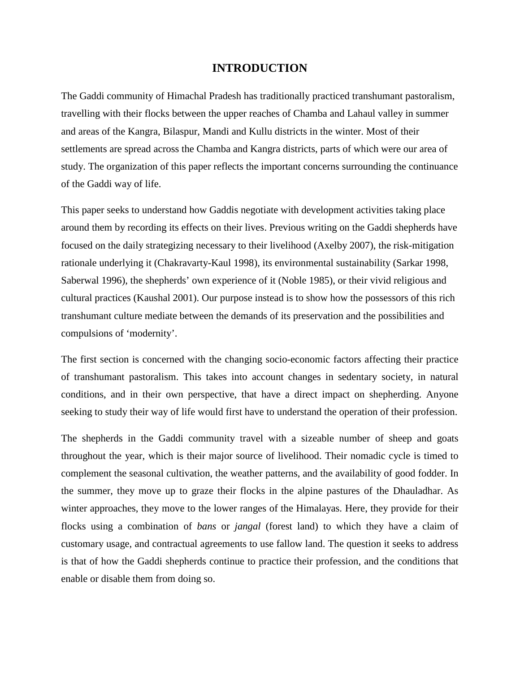#### **INTRODUCTION**

The Gaddi community of Himachal Pradesh has traditionally practiced transhumant pastoralism, travelling with their flocks between the upper reaches of Chamba and Lahaul valley in summer and areas of the Kangra, Bilaspur, Mandi and Kullu districts in the winter. Most of their settlements are spread across the Chamba and Kangra districts, parts of which were our area of study. The organization of this paper reflects the important concerns surrounding the continuance of the Gaddi way of life.

This paper seeks to understand how Gaddis negotiate with development activities taking place around them by recording its effects on their lives. Previous writing on the Gaddi shepherds have focused on the daily strategizing necessary to their livelihood (Axelby 2007), the risk-mitigation rationale underlying it (Chakravarty-Kaul 1998), its environmental sustainability (Sarkar 1998, Saberwal 1996), the shepherds' own experience of it (Noble 1985), or their vivid religious and cultural practices (Kaushal 2001). Our purpose instead is to show how the possessors of this rich transhumant culture mediate between the demands of its preservation and the possibilities and compulsions of 'modernity'.

The first section is concerned with the changing socio-economic factors affecting their practice of transhumant pastoralism. This takes into account changes in sedentary society, in natural conditions, and in their own perspective, that have a direct impact on shepherding. Anyone seeking to study their way of life would first have to understand the operation of their profession.

The shepherds in the Gaddi community travel with a sizeable number of sheep and goats throughout the year, which is their major source of livelihood. Their nomadic cycle is timed to complement the seasonal cultivation, the weather patterns, and the availability of good fodder. In the summer, they move up to graze their flocks in the alpine pastures of the Dhauladhar. As winter approaches, they move to the lower ranges of the Himalayas. Here, they provide for their flocks using a combination of *bans* or *jangal* (forest land) to which they have a claim of customary usage, and contractual agreements to use fallow land. The question it seeks to address is that of how the Gaddi shepherds continue to practice their profession, and the conditions that enable or disable them from doing so.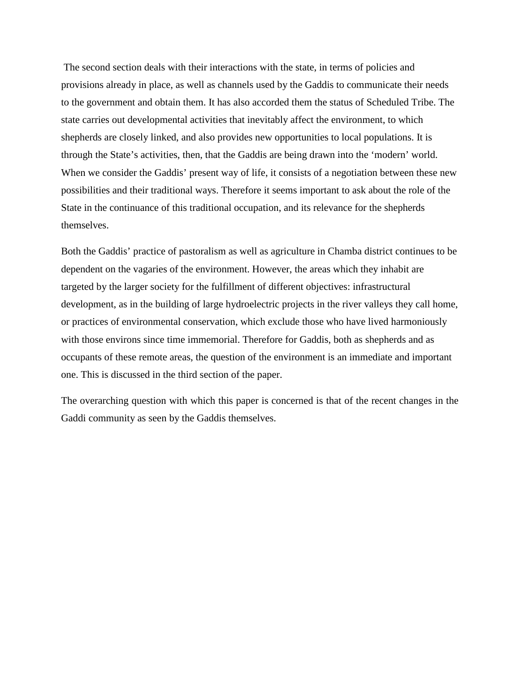The second section deals with their interactions with the state, in terms of policies and provisions already in place, as well as channels used by the Gaddis to communicate their needs to the government and obtain them. It has also accorded them the status of Scheduled Tribe. The state carries out developmental activities that inevitably affect the environment, to which shepherds are closely linked, and also provides new opportunities to local populations. It is through the State's activities, then, that the Gaddis are being drawn into the 'modern' world. When we consider the Gaddis' present way of life, it consists of a negotiation between these new possibilities and their traditional ways. Therefore it seems important to ask about the role of the State in the continuance of this traditional occupation, and its relevance for the shepherds themselves.

Both the Gaddis' practice of pastoralism as well as agriculture in Chamba district continues to be dependent on the vagaries of the environment. However, the areas which they inhabit are targeted by the larger society for the fulfillment of different objectives: infrastructural development, as in the building of large hydroelectric projects in the river valleys they call home, or practices of environmental conservation, which exclude those who have lived harmoniously with those environs since time immemorial. Therefore for Gaddis, both as shepherds and as occupants of these remote areas, the question of the environment is an immediate and important one. This is discussed in the third section of the paper.

The overarching question with which this paper is concerned is that of the recent changes in the Gaddi community as seen by the Gaddis themselves.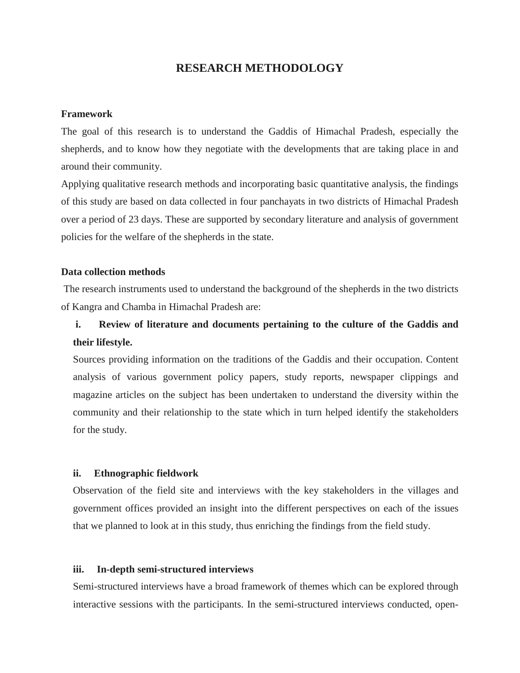#### **RESEARCH METHODOLOGY**

#### **Framework**

The goal of this research is to understand the Gaddis of Himachal Pradesh, especially the shepherds, and to know how they negotiate with the developments that are taking place in and around their community.

Applying qualitative research methods and incorporating basic quantitative analysis, the findings of this study are based on data collected in four panchayats in two districts of Himachal Pradesh over a period of 23 days. These are supported by secondary literature and analysis of government policies for the welfare of the shepherds in the state.

#### **Data collection methods**

The research instruments used to understand the background of the shepherds in the two districts of Kangra and Chamba in Himachal Pradesh are:

# **i. Review of literature and documents pertaining to the culture of the Gaddis and their lifestyle.**

Sources providing information on the traditions of the Gaddis and their occupation. Content analysis of various government policy papers, study reports, newspaper clippings and magazine articles on the subject has been undertaken to understand the diversity within the community and their relationship to the state which in turn helped identify the stakeholders for the study.

#### **ii. Ethnographic fieldwork**

Observation of the field site and interviews with the key stakeholders in the villages and government offices provided an insight into the different perspectives on each of the issues that we planned to look at in this study, thus enriching the findings from the field study.

#### **iii. In-depth semi-structured interviews**

Semi-structured interviews have a broad framework of themes which can be explored through interactive sessions with the participants. In the semi-structured interviews conducted, open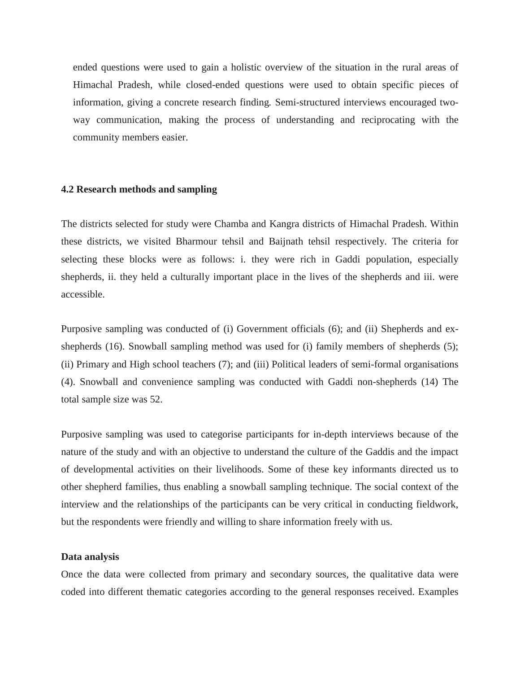ended questions were used to gain a holistic overview of the situation in the rural areas of Himachal Pradesh, while closed-ended questions were used to obtain specific pieces of information, giving a concrete research finding*.* Semi-structured interviews encouraged twoway communication, making the process of understanding and reciprocating with the community members easier.

#### **4.2 Research methods and sampling**

The districts selected for study were Chamba and Kangra districts of Himachal Pradesh. Within these districts, we visited Bharmour tehsil and Baijnath tehsil respectively. The criteria for selecting these blocks were as follows: i. they were rich in Gaddi population, especially shepherds, ii. they held a culturally important place in the lives of the shepherds and iii. were accessible.

Purposive sampling was conducted of (i) Government officials (6); and (ii) Shepherds and exshepherds (16). Snowball sampling method was used for (i) family members of shepherds (5); (ii) Primary and High school teachers (7); and (iii) Political leaders of semi-formal organisations (4). Snowball and convenience sampling was conducted with Gaddi non-shepherds (14) The total sample size was 52.

Purposive sampling was used to categorise participants for in-depth interviews because of the nature of the study and with an objective to understand the culture of the Gaddis and the impact of developmental activities on their livelihoods. Some of these key informants directed us to other shepherd families, thus enabling a snowball sampling technique. The social context of the interview and the relationships of the participants can be very critical in conducting fieldwork, but the respondents were friendly and willing to share information freely with us.

#### **Data analysis**

Once the data were collected from primary and secondary sources, the qualitative data were coded into different thematic categories according to the general responses received. Examples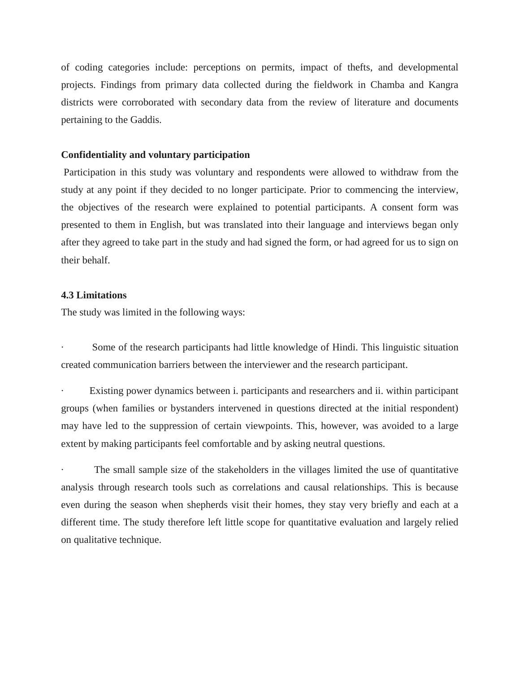of coding categories include: perceptions on permits, impact of thefts, and developmental projects. Findings from primary data collected during the fieldwork in Chamba and Kangra districts were corroborated with secondary data from the review of literature and documents pertaining to the Gaddis.

#### **Confidentiality and voluntary participation**

Participation in this study was voluntary and respondents were allowed to withdraw from the study at any point if they decided to no longer participate. Prior to commencing the interview, the objectives of the research were explained to potential participants. A consent form was presented to them in English, but was translated into their language and interviews began only after they agreed to take part in the study and had signed the form, or had agreed for us to sign on their behalf.

#### **4.3 Limitations**

The study was limited in the following ways:

· Some of the research participants had little knowledge of Hindi. This linguistic situation created communication barriers between the interviewer and the research participant.

Existing power dynamics between i. participants and researchers and ii. within participant groups (when families or bystanders intervened in questions directed at the initial respondent) may have led to the suppression of certain viewpoints. This, however, was avoided to a large extent by making participants feel comfortable and by asking neutral questions.

The small sample size of the stakeholders in the villages limited the use of quantitative analysis through research tools such as correlations and causal relationships. This is because even during the season when shepherds visit their homes, they stay very briefly and each at a different time. The study therefore left little scope for quantitative evaluation and largely relied on qualitative technique.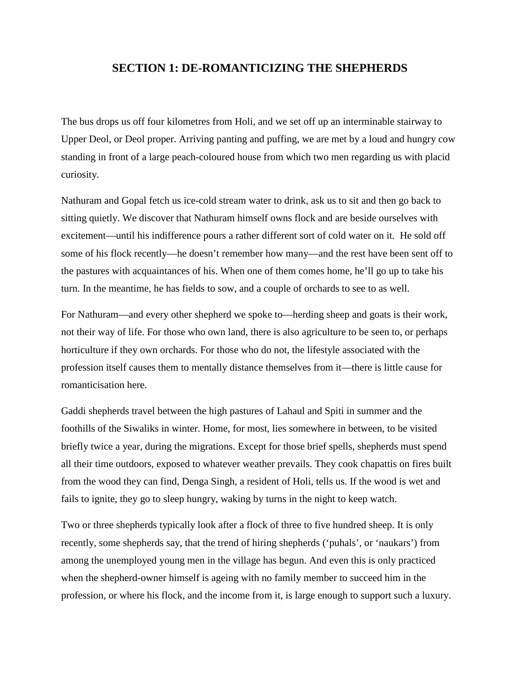#### **SECTION 1: DE-ROMANTICIZING THE SHEPHERDS**

The bus drops us off four kilometres from Holi, and we set off up an interminable stairway to Upper Deol, or Deol proper. Arriving panting and puffing, we are met by a loud and hungry cow standing in front of a large peach-coloured house from which two men regarding us with placid curiosity.

Nathuram and Gopal fetch us ice-cold stream water to drink, ask us to sit and then go back to sitting quietly. We discover that Nathuram himself owns flock and are beside ourselves with excitement—until his indifference pours a rather different sort of cold water on it. He sold off some of his flock recently—he doesn't remember how many—and the rest have been sent off to the pastures with acquaintances of his. When one of them comes home, he'll go up to take his turn. In the meantime, he has fields to sow, and a couple of orchards to see to as well.

For Nathuram—and every other shepherd we spoke to—herding sheep and goats is their work, not their way of life. For those who own land, there is also agriculture to be seen to, or perhaps horticulture if they own orchards. For those who do not, the lifestyle associated with the profession itself causes them to mentally distance themselves from it—there is little cause for romanticisation here.

Gaddi shepherds travel between the high pastures of Lahaul and Spiti in summer and the foothills of the Siwaliks in winter. Home, for most, lies somewhere in between, to be visited briefly twice a year, during the migrations. Except for those brief spells, shepherds must spend all their time outdoors, exposed to whatever weather prevails. They cook chapattis on fires built from the wood they can find, Denga Singh, a resident of Holi, tells us. If the wood is wet and fails to ignite, they go to sleep hungry, waking by turns in the night to keep watch.

Two or three shepherds typically look after a flock of three to five hundred sheep. It is only recently, some shepherds say, that the trend of hiring shepherds ('puhals', or 'naukars') from among the unemployed young men in the village has begun. And even this is only practiced when the shepherd-owner himself is ageing with no family member to succeed him in the profession, or where his flock, and the income from it, is large enough to support such a luxury.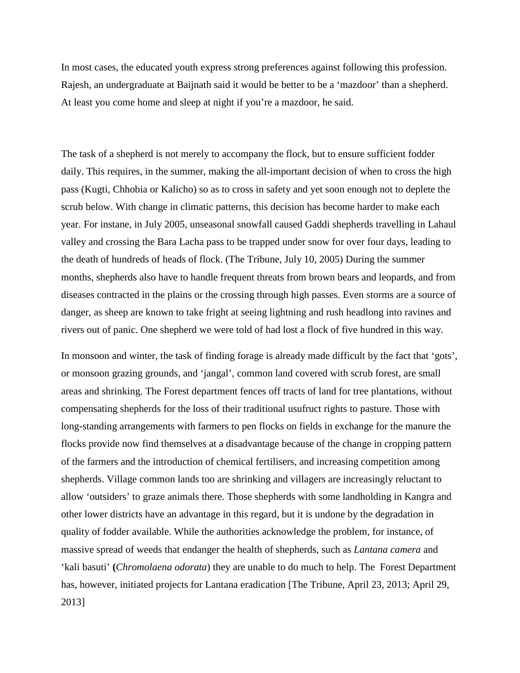In most cases, the educated youth express strong preferences against following this profession. Rajesh, an undergraduate at Baijnath said it would be better to be a 'mazdoor' than a shepherd. At least you come home and sleep at night if you're a mazdoor, he said.

The task of a shepherd is not merely to accompany the flock, but to ensure sufficient fodder daily. This requires, in the summer, making the all-important decision of when to cross the high pass (Kugti, Chhobia or Kalicho) so as to cross in safety and yet soon enough not to deplete the scrub below. With change in climatic patterns, this decision has become harder to make each year. For instane, in July 2005, unseasonal snowfall caused Gaddi shepherds travelling in Lahaul valley and crossing the Bara Lacha pass to be trapped under snow for over four days, leading to the death of hundreds of heads of flock. (The Tribune, July 10, 2005) During the summer months, shepherds also have to handle frequent threats from brown bears and leopards, and from diseases contracted in the plains or the crossing through high passes. Even storms are a source of danger, as sheep are known to take fright at seeing lightning and rush headlong into ravines and rivers out of panic. One shepherd we were told of had lost a flock of five hundred in this way.

In monsoon and winter, the task of finding forage is already made difficult by the fact that 'gots', or monsoon grazing grounds, and 'jangal', common land covered with scrub forest, are small areas and shrinking. The Forest department fences off tracts of land for tree plantations, without compensating shepherds for the loss of their traditional usufruct rights to pasture. Those with long-standing arrangements with farmers to pen flocks on fields in exchange for the manure the flocks provide now find themselves at a disadvantage because of the change in cropping pattern of the farmers and the introduction of chemical fertilisers, and increasing competition among shepherds. Village common lands too are shrinking and villagers are increasingly reluctant to allow 'outsiders' to graze animals there. Those shepherds with some landholding in Kangra and other lower districts have an advantage in this regard, but it is undone by the degradation in quality of fodder available. While the authorities acknowledge the problem, for instance, of massive spread of weeds that endanger the health of shepherds, such as *Lantana camera* and 'kali basuti' **(***Chromolaena odorata*) they are unable to do much to help. The Forest Department has, however, initiated projects for Lantana eradication [The Tribune, April 23, 2013; April 29, 2013]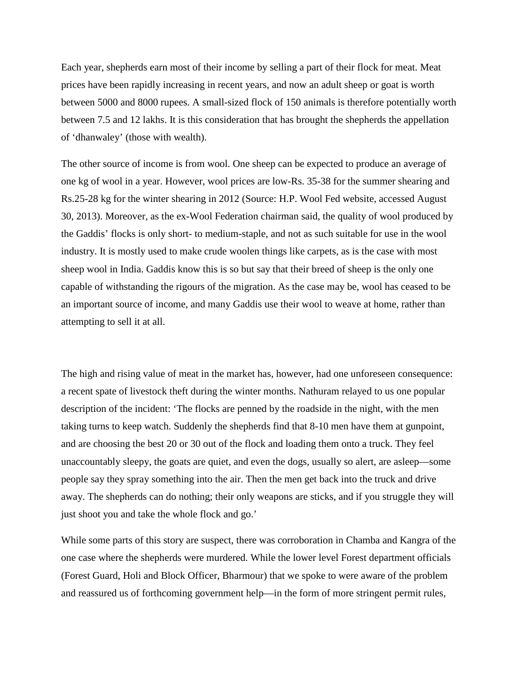Each year, shepherds earn most of their income by selling a part of their flock for meat. Meat prices have been rapidly increasing in recent years, and now an adult sheep or goat is worth between 5000 and 8000 rupees. A small-sized flock of 150 animals is therefore potentially worth between 7.5 and 12 lakhs. It is this consideration that has brought the shepherds the appellation of 'dhanwaley' (those with wealth).

The other source of income is from wool. One sheep can be expected to produce an average of one kg of wool in a year. However, wool prices are low-Rs. 35-38 for the summer shearing and Rs.25-28 kg for the winter shearing in 2012 (Source: H.P. Wool Fed website, accessed August 30, 2013). Moreover, as the ex-Wool Federation chairman said, the quality of wool produced by the Gaddis' flocks is only short- to medium-staple, and not as such suitable for use in the wool industry. It is mostly used to make crude woolen things like carpets, as is the case with most sheep wool in India. Gaddis know this is so but say that their breed of sheep is the only one capable of withstanding the rigours of the migration. As the case may be, wool has ceased to be an important source of income, and many Gaddis use their wool to weave at home, rather than attempting to sell it at all.

The high and rising value of meat in the market has, however, had one unforeseen consequence: a recent spate of livestock theft during the winter months. Nathuram relayed to us one popular description of the incident: 'The flocks are penned by the roadside in the night, with the men taking turns to keep watch. Suddenly the shepherds find that 8-10 men have them at gunpoint, and are choosing the best 20 or 30 out of the flock and loading them onto a truck. They feel unaccountably sleepy, the goats are quiet, and even the dogs, usually so alert, are asleep—some people say they spray something into the air. Then the men get back into the truck and drive away. The shepherds can do nothing; their only weapons are sticks, and if you struggle they will just shoot you and take the whole flock and go.'

While some parts of this story are suspect, there was corroboration in Chamba and Kangra of the one case where the shepherds were murdered. While the lower level Forest department officials (Forest Guard, Holi and Block Officer, Bharmour) that we spoke to were aware of the problem and reassured us of forthcoming government help—in the form of more stringent permit rules,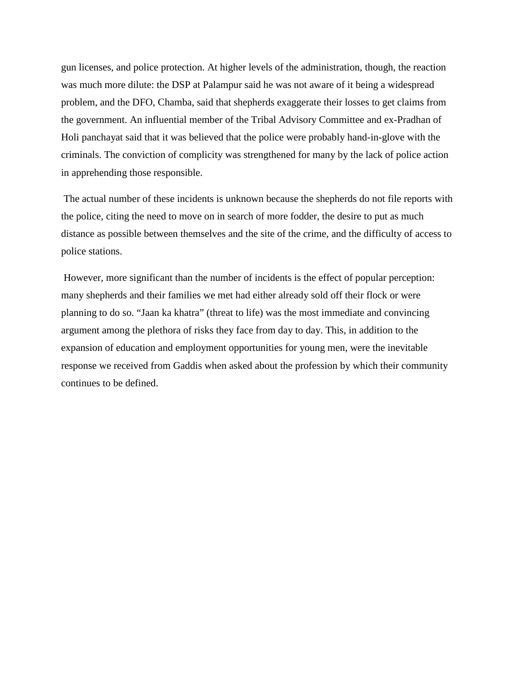gun licenses, and police protection. At higher levels of the administration, though, the reaction was much more dilute: the DSP at Palampur said he was not aware of it being a widespread problem, and the DFO, Chamba, said that shepherds exaggerate their losses to get claims from the government. An influential member of the Tribal Advisory Committee and ex-Pradhan of Holi panchayat said that it was believed that the police were probably hand-in-glove with the criminals. The conviction of complicity was strengthened for many by the lack of police action in apprehending those responsible.

The actual number of these incidents is unknown because the shepherds do not file reports with the police, citing the need to move on in search of more fodder, the desire to put as much distance as possible between themselves and the site of the crime, and the difficulty of access to police stations.

However, more significant than the number of incidents is the effect of popular perception: many shepherds and their families we met had either already sold off their flock or were planning to do so. "Jaan ka khatra" (threat to life) was the most immediate and convincing argument among the plethora of risks they face from day to day. This, in addition to the expansion of education and employment opportunities for young men, were the inevitable response we received from Gaddis when asked about the profession by which their community continues to be defined.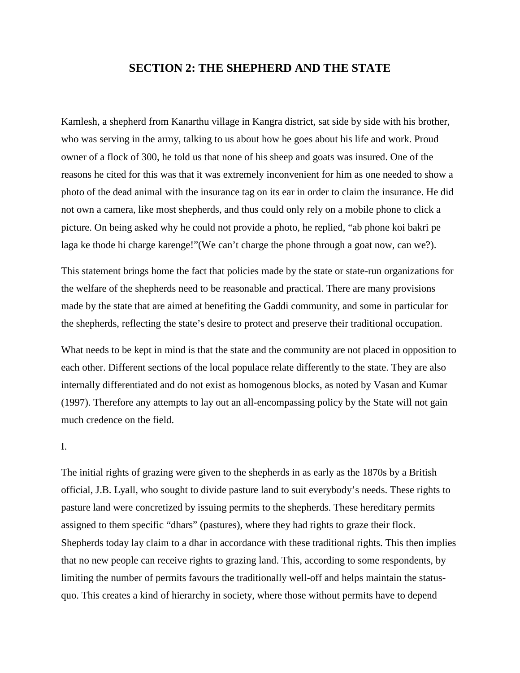#### **SECTION 2: THE SHEPHERD AND THE STATE**

Kamlesh, a shepherd from Kanarthu village in Kangra district, sat side by side with his brother, who was serving in the army, talking to us about how he goes about his life and work. Proud owner of a flock of 300, he told us that none of his sheep and goats was insured. One of the reasons he cited for this was that it was extremely inconvenient for him as one needed to show a photo of the dead animal with the insurance tag on its ear in order to claim the insurance. He did not own a camera, like most shepherds, and thus could only rely on a mobile phone to click a picture. On being asked why he could not provide a photo, he replied, "ab phone koi bakri pe laga ke thode hi charge karenge!"(We can't charge the phone through a goat now, can we?).

This statement brings home the fact that policies made by the state or state-run organizations for the welfare of the shepherds need to be reasonable and practical. There are many provisions made by the state that are aimed at benefiting the Gaddi community, and some in particular for the shepherds, reflecting the state's desire to protect and preserve their traditional occupation.

What needs to be kept in mind is that the state and the community are not placed in opposition to each other. Different sections of the local populace relate differently to the state. They are also internally differentiated and do not exist as homogenous blocks, as noted by Vasan and Kumar (1997). Therefore any attempts to lay out an all-encompassing policy by the State will not gain much credence on the field.

#### I.

The initial rights of grazing were given to the shepherds in as early as the 1870s by a British official, J.B. Lyall, who sought to divide pasture land to suit everybody's needs. These rights to pasture land were concretized by issuing permits to the shepherds. These hereditary permits assigned to them specific "dhars" (pastures), where they had rights to graze their flock. Shepherds today lay claim to a dhar in accordance with these traditional rights. This then implies that no new people can receive rights to grazing land. This, according to some respondents, by limiting the number of permits favours the traditionally well-off and helps maintain the statusquo. This creates a kind of hierarchy in society, where those without permits have to depend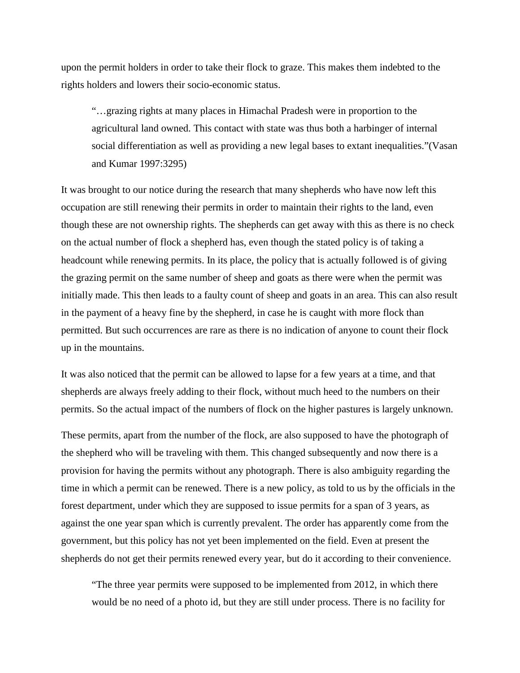upon the permit holders in order to take their flock to graze. This makes them indebted to the rights holders and lowers their socio-economic status.

"…grazing rights at many places in Himachal Pradesh were in proportion to the agricultural land owned. This contact with state was thus both a harbinger of internal social differentiation as well as providing a new legal bases to extant inequalities."(Vasan and Kumar 1997:3295)

It was brought to our notice during the research that many shepherds who have now left this occupation are still renewing their permits in order to maintain their rights to the land, even though these are not ownership rights. The shepherds can get away with this as there is no check on the actual number of flock a shepherd has, even though the stated policy is of taking a headcount while renewing permits. In its place, the policy that is actually followed is of giving the grazing permit on the same number of sheep and goats as there were when the permit was initially made. This then leads to a faulty count of sheep and goats in an area. This can also result in the payment of a heavy fine by the shepherd, in case he is caught with more flock than permitted. But such occurrences are rare as there is no indication of anyone to count their flock up in the mountains.

It was also noticed that the permit can be allowed to lapse for a few years at a time, and that shepherds are always freely adding to their flock, without much heed to the numbers on their permits. So the actual impact of the numbers of flock on the higher pastures is largely unknown.

These permits, apart from the number of the flock, are also supposed to have the photograph of the shepherd who will be traveling with them. This changed subsequently and now there is a provision for having the permits without any photograph. There is also ambiguity regarding the time in which a permit can be renewed. There is a new policy, as told to us by the officials in the forest department, under which they are supposed to issue permits for a span of 3 years, as against the one year span which is currently prevalent. The order has apparently come from the government, but this policy has not yet been implemented on the field. Even at present the shepherds do not get their permits renewed every year, but do it according to their convenience.

"The three year permits were supposed to be implemented from 2012, in which there would be no need of a photo id, but they are still under process. There is no facility for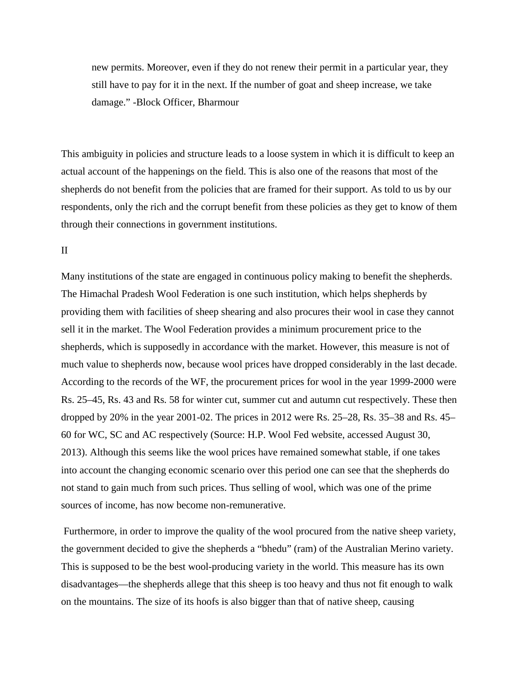new permits. Moreover, even if they do not renew their permit in a particular year, they still have to pay for it in the next. If the number of goat and sheep increase, we take damage." -Block Officer, Bharmour

This ambiguity in policies and structure leads to a loose system in which it is difficult to keep an actual account of the happenings on the field. This is also one of the reasons that most of the shepherds do not benefit from the policies that are framed for their support. As told to us by our respondents, only the rich and the corrupt benefit from these policies as they get to know of them through their connections in government institutions.

#### II

Many institutions of the state are engaged in continuous policy making to benefit the shepherds. The Himachal Pradesh Wool Federation is one such institution, which helps shepherds by providing them with facilities of sheep shearing and also procures their wool in case they cannot sell it in the market. The Wool Federation provides a minimum procurement price to the shepherds, which is supposedly in accordance with the market. However, this measure is not of much value to shepherds now, because wool prices have dropped considerably in the last decade. According to the records of the WF, the procurement prices for wool in the year 1999-2000 were Rs. 25–45, Rs. 43 and Rs. 58 for winter cut, summer cut and autumn cut respectively. These then dropped by 20% in the year 2001-02. The prices in 2012 were Rs. 25–28, Rs. 35–38 and Rs. 45– 60 for WC, SC and AC respectively (Source: H.P. Wool Fed website, accessed August 30, 2013). Although this seems like the wool prices have remained somewhat stable, if one takes into account the changing economic scenario over this period one can see that the shepherds do not stand to gain much from such prices. Thus selling of wool, which was one of the prime sources of income, has now become non-remunerative.

Furthermore, in order to improve the quality of the wool procured from the native sheep variety, the government decided to give the shepherds a "bhedu" (ram) of the Australian Merino variety. This is supposed to be the best wool-producing variety in the world. This measure has its own disadvantages—the shepherds allege that this sheep is too heavy and thus not fit enough to walk on the mountains. The size of its hoofs is also bigger than that of native sheep, causing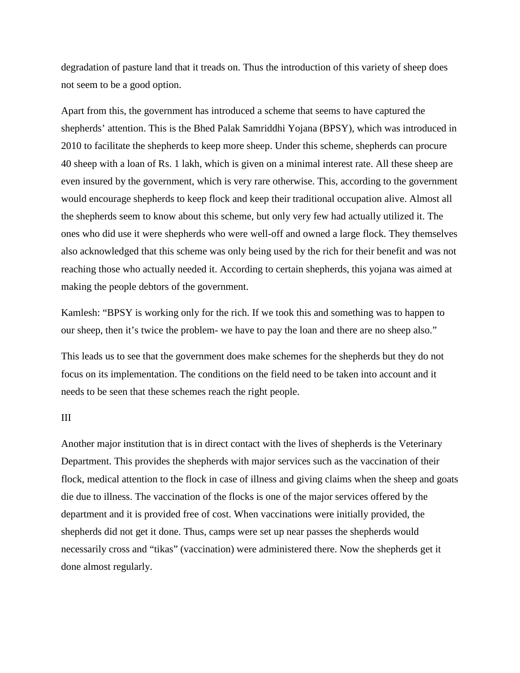degradation of pasture land that it treads on. Thus the introduction of this variety of sheep does not seem to be a good option.

Apart from this, the government has introduced a scheme that seems to have captured the shepherds' attention. This is the Bhed Palak Samriddhi Yojana (BPSY), which was introduced in 2010 to facilitate the shepherds to keep more sheep. Under this scheme, shepherds can procure 40 sheep with a loan of Rs. 1 lakh, which is given on a minimal interest rate. All these sheep are even insured by the government, which is very rare otherwise. This, according to the government would encourage shepherds to keep flock and keep their traditional occupation alive. Almost all the shepherds seem to know about this scheme, but only very few had actually utilized it. The ones who did use it were shepherds who were well-off and owned a large flock. They themselves also acknowledged that this scheme was only being used by the rich for their benefit and was not reaching those who actually needed it. According to certain shepherds, this yojana was aimed at making the people debtors of the government.

Kamlesh: "BPSY is working only for the rich. If we took this and something was to happen to our sheep, then it's twice the problem- we have to pay the loan and there are no sheep also."

This leads us to see that the government does make schemes for the shepherds but they do not focus on its implementation. The conditions on the field need to be taken into account and it needs to be seen that these schemes reach the right people.

#### III

Another major institution that is in direct contact with the lives of shepherds is the Veterinary Department. This provides the shepherds with major services such as the vaccination of their flock, medical attention to the flock in case of illness and giving claims when the sheep and goats die due to illness. The vaccination of the flocks is one of the major services offered by the department and it is provided free of cost. When vaccinations were initially provided, the shepherds did not get it done. Thus, camps were set up near passes the shepherds would necessarily cross and "tikas" (vaccination) were administered there. Now the shepherds get it done almost regularly.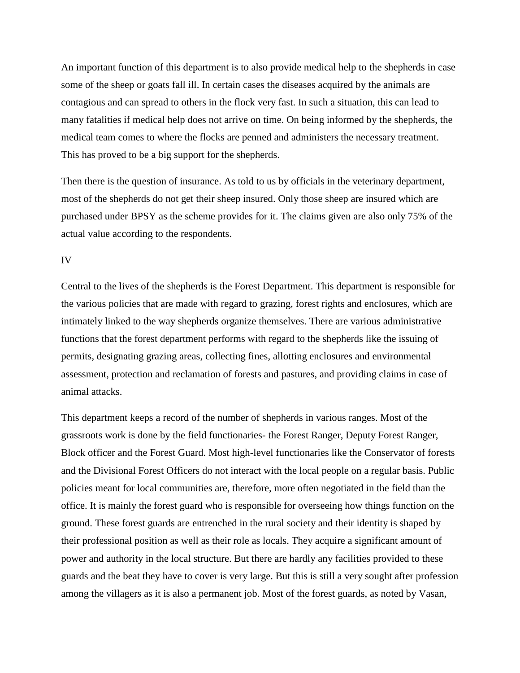An important function of this department is to also provide medical help to the shepherds in case some of the sheep or goats fall ill. In certain cases the diseases acquired by the animals are contagious and can spread to others in the flock very fast. In such a situation, this can lead to many fatalities if medical help does not arrive on time. On being informed by the shepherds, the medical team comes to where the flocks are penned and administers the necessary treatment. This has proved to be a big support for the shepherds.

Then there is the question of insurance. As told to us by officials in the veterinary department, most of the shepherds do not get their sheep insured. Only those sheep are insured which are purchased under BPSY as the scheme provides for it. The claims given are also only 75% of the actual value according to the respondents.

IV

Central to the lives of the shepherds is the Forest Department. This department is responsible for the various policies that are made with regard to grazing, forest rights and enclosures, which are intimately linked to the way shepherds organize themselves. There are various administrative functions that the forest department performs with regard to the shepherds like the issuing of permits, designating grazing areas, collecting fines, allotting enclosures and environmental assessment, protection and reclamation of forests and pastures, and providing claims in case of animal attacks.

This department keeps a record of the number of shepherds in various ranges. Most of the grassroots work is done by the field functionaries- the Forest Ranger, Deputy Forest Ranger, Block officer and the Forest Guard. Most high-level functionaries like the Conservator of forests and the Divisional Forest Officers do not interact with the local people on a regular basis. Public policies meant for local communities are, therefore, more often negotiated in the field than the office. It is mainly the forest guard who is responsible for overseeing how things function on the ground. These forest guards are entrenched in the rural society and their identity is shaped by their professional position as well as their role as locals. They acquire a significant amount of power and authority in the local structure. But there are hardly any facilities provided to these guards and the beat they have to cover is very large. But this is still a very sought after profession among the villagers as it is also a permanent job. Most of the forest guards, as noted by Vasan,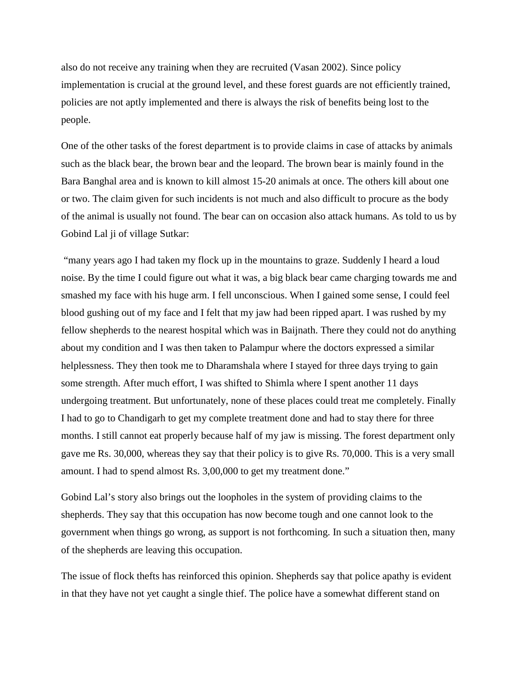also do not receive any training when they are recruited (Vasan 2002). Since policy implementation is crucial at the ground level, and these forest guards are not efficiently trained, policies are not aptly implemented and there is always the risk of benefits being lost to the people.

One of the other tasks of the forest department is to provide claims in case of attacks by animals such as the black bear, the brown bear and the leopard. The brown bear is mainly found in the Bara Banghal area and is known to kill almost 15-20 animals at once. The others kill about one or two. The claim given for such incidents is not much and also difficult to procure as the body of the animal is usually not found. The bear can on occasion also attack humans. As told to us by Gobind Lal ji of village Sutkar:

"many years ago I had taken my flock up in the mountains to graze. Suddenly I heard a loud noise. By the time I could figure out what it was, a big black bear came charging towards me and smashed my face with his huge arm. I fell unconscious. When I gained some sense, I could feel blood gushing out of my face and I felt that my jaw had been ripped apart. I was rushed by my fellow shepherds to the nearest hospital which was in Baijnath. There they could not do anything about my condition and I was then taken to Palampur where the doctors expressed a similar helplessness. They then took me to Dharamshala where I stayed for three days trying to gain some strength. After much effort, I was shifted to Shimla where I spent another 11 days undergoing treatment. But unfortunately, none of these places could treat me completely. Finally I had to go to Chandigarh to get my complete treatment done and had to stay there for three months. I still cannot eat properly because half of my jaw is missing. The forest department only gave me Rs. 30,000, whereas they say that their policy is to give Rs. 70,000. This is a very small amount. I had to spend almost Rs. 3,00,000 to get my treatment done."

Gobind Lal's story also brings out the loopholes in the system of providing claims to the shepherds. They say that this occupation has now become tough and one cannot look to the government when things go wrong, as support is not forthcoming. In such a situation then, many of the shepherds are leaving this occupation.

The issue of flock thefts has reinforced this opinion. Shepherds say that police apathy is evident in that they have not yet caught a single thief. The police have a somewhat different stand on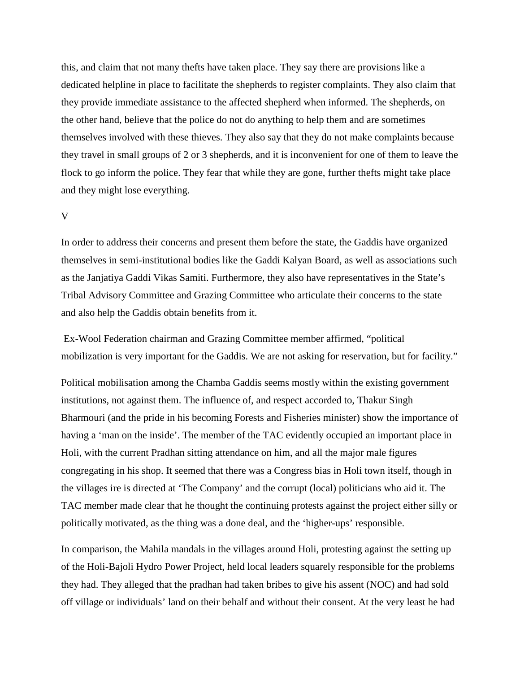this, and claim that not many thefts have taken place. They say there are provisions like a dedicated helpline in place to facilitate the shepherds to register complaints. They also claim that they provide immediate assistance to the affected shepherd when informed. The shepherds, on the other hand, believe that the police do not do anything to help them and are sometimes themselves involved with these thieves. They also say that they do not make complaints because they travel in small groups of 2 or 3 shepherds, and it is inconvenient for one of them to leave the flock to go inform the police. They fear that while they are gone, further thefts might take place and they might lose everything.

#### V

In order to address their concerns and present them before the state, the Gaddis have organized themselves in semi-institutional bodies like the Gaddi Kalyan Board, as well as associations such as the Janjatiya Gaddi Vikas Samiti. Furthermore, they also have representatives in the State's Tribal Advisory Committee and Grazing Committee who articulate their concerns to the state and also help the Gaddis obtain benefits from it.

Ex-Wool Federation chairman and Grazing Committee member affirmed, "political mobilization is very important for the Gaddis. We are not asking for reservation, but for facility."

Political mobilisation among the Chamba Gaddis seems mostly within the existing government institutions, not against them. The influence of, and respect accorded to, Thakur Singh Bharmouri (and the pride in his becoming Forests and Fisheries minister) show the importance of having a 'man on the inside'. The member of the TAC evidently occupied an important place in Holi, with the current Pradhan sitting attendance on him, and all the major male figures congregating in his shop. It seemed that there was a Congress bias in Holi town itself, though in the villages ire is directed at 'The Company' and the corrupt (local) politicians who aid it. The TAC member made clear that he thought the continuing protests against the project either silly or politically motivated, as the thing was a done deal, and the 'higher-ups' responsible.

In comparison, the Mahila mandals in the villages around Holi, protesting against the setting up of the Holi-Bajoli Hydro Power Project, held local leaders squarely responsible for the problems they had. They alleged that the pradhan had taken bribes to give his assent (NOC) and had sold off village or individuals' land on their behalf and without their consent. At the very least he had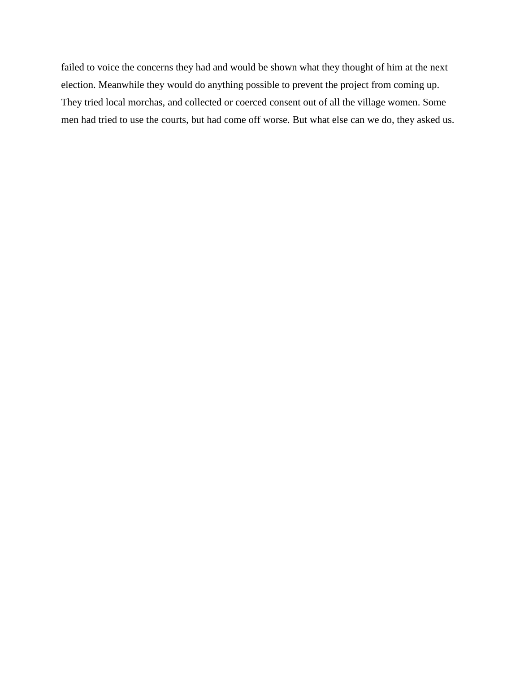failed to voice the concerns they had and would be shown what they thought of him at the next election. Meanwhile they would do anything possible to prevent the project from coming up. They tried local morchas, and collected or coerced consent out of all the village women. Some men had tried to use the courts, but had come off worse. But what else can we do, they asked us.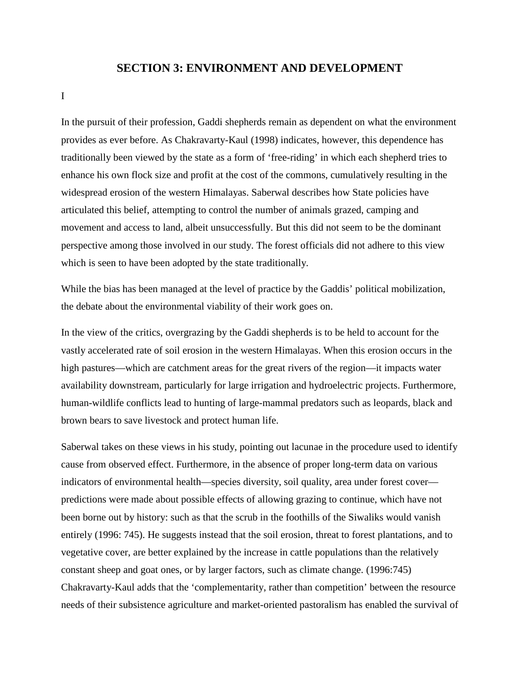#### **SECTION 3: ENVIRONMENT AND DEVELOPMENT**

I

In the pursuit of their profession, Gaddi shepherds remain as dependent on what the environment provides as ever before. As Chakravarty-Kaul (1998) indicates, however, this dependence has traditionally been viewed by the state as a form of 'free-riding' in which each shepherd tries to enhance his own flock size and profit at the cost of the commons, cumulatively resulting in the widespread erosion of the western Himalayas. Saberwal describes how State policies have articulated this belief, attempting to control the number of animals grazed, camping and movement and access to land, albeit unsuccessfully. But this did not seem to be the dominant perspective among those involved in our study. The forest officials did not adhere to this view which is seen to have been adopted by the state traditionally.

While the bias has been managed at the level of practice by the Gaddis' political mobilization, the debate about the environmental viability of their work goes on.

In the view of the critics, overgrazing by the Gaddi shepherds is to be held to account for the vastly accelerated rate of soil erosion in the western Himalayas. When this erosion occurs in the high pastures—which are catchment areas for the great rivers of the region—it impacts water availability downstream, particularly for large irrigation and hydroelectric projects. Furthermore, human-wildlife conflicts lead to hunting of large-mammal predators such as leopards, black and brown bears to save livestock and protect human life.

Saberwal takes on these views in his study, pointing out lacunae in the procedure used to identify cause from observed effect. Furthermore, in the absence of proper long-term data on various indicators of environmental health—species diversity, soil quality, area under forest cover predictions were made about possible effects of allowing grazing to continue, which have not been borne out by history: such as that the scrub in the foothills of the Siwaliks would vanish entirely (1996: 745). He suggests instead that the soil erosion, threat to forest plantations, and to vegetative cover, are better explained by the increase in cattle populations than the relatively constant sheep and goat ones, or by larger factors, such as climate change. (1996:745) Chakravarty-Kaul adds that the 'complementarity, rather than competition' between the resource needs of their subsistence agriculture and market-oriented pastoralism has enabled the survival of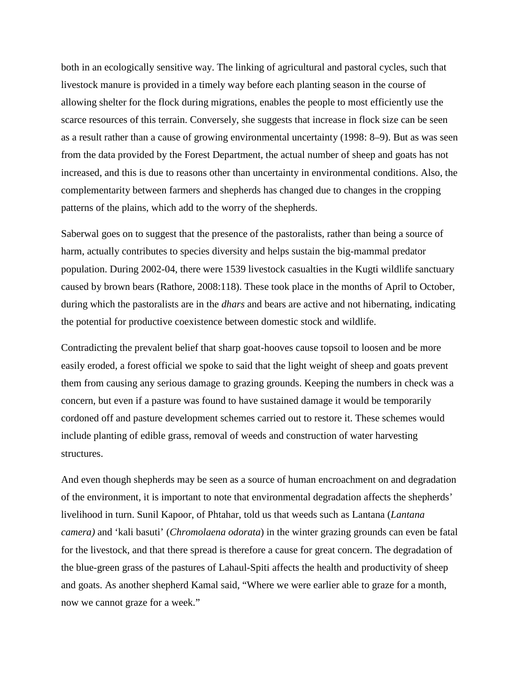both in an ecologically sensitive way. The linking of agricultural and pastoral cycles, such that livestock manure is provided in a timely way before each planting season in the course of allowing shelter for the flock during migrations, enables the people to most efficiently use the scarce resources of this terrain. Conversely, she suggests that increase in flock size can be seen as a result rather than a cause of growing environmental uncertainty (1998: 8–9). But as was seen from the data provided by the Forest Department, the actual number of sheep and goats has not increased, and this is due to reasons other than uncertainty in environmental conditions. Also, the complementarity between farmers and shepherds has changed due to changes in the cropping patterns of the plains, which add to the worry of the shepherds.

Saberwal goes on to suggest that the presence of the pastoralists, rather than being a source of harm, actually contributes to species diversity and helps sustain the big-mammal predator population. During 2002-04, there were 1539 livestock casualties in the Kugti wildlife sanctuary caused by brown bears (Rathore, 2008:118). These took place in the months of April to October, during which the pastoralists are in the *dhars* and bears are active and not hibernating, indicating the potential for productive coexistence between domestic stock and wildlife.

Contradicting the prevalent belief that sharp goat-hooves cause topsoil to loosen and be more easily eroded, a forest official we spoke to said that the light weight of sheep and goats prevent them from causing any serious damage to grazing grounds. Keeping the numbers in check was a concern, but even if a pasture was found to have sustained damage it would be temporarily cordoned off and pasture development schemes carried out to restore it. These schemes would include planting of edible grass, removal of weeds and construction of water harvesting structures.

And even though shepherds may be seen as a source of human encroachment on and degradation of the environment, it is important to note that environmental degradation affects the shepherds' livelihood in turn. Sunil Kapoor, of Phtahar, told us that weeds such as Lantana (*Lantana camera)* and 'kali basuti' (*Chromolaena odorata*) in the winter grazing grounds can even be fatal for the livestock, and that there spread is therefore a cause for great concern. The degradation of the blue-green grass of the pastures of Lahaul-Spiti affects the health and productivity of sheep and goats. As another shepherd Kamal said, "Where we were earlier able to graze for a month, now we cannot graze for a week."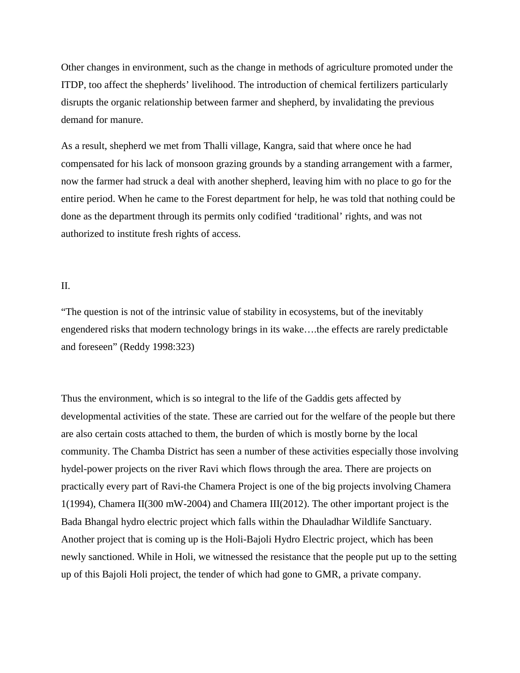Other changes in environment, such as the change in methods of agriculture promoted under the ITDP, too affect the shepherds' livelihood. The introduction of chemical fertilizers particularly disrupts the organic relationship between farmer and shepherd, by invalidating the previous demand for manure.

As a result, shepherd we met from Thalli village, Kangra, said that where once he had compensated for his lack of monsoon grazing grounds by a standing arrangement with a farmer, now the farmer had struck a deal with another shepherd, leaving him with no place to go for the entire period. When he came to the Forest department for help, he was told that nothing could be done as the department through its permits only codified 'traditional' rights, and was not authorized to institute fresh rights of access.

#### II.

"The question is not of the intrinsic value of stability in ecosystems, but of the inevitably engendered risks that modern technology brings in its wake….the effects are rarely predictable and foreseen" (Reddy 1998:323)

Thus the environment, which is so integral to the life of the Gaddis gets affected by developmental activities of the state. These are carried out for the welfare of the people but there are also certain costs attached to them, the burden of which is mostly borne by the local community. The Chamba District has seen a number of these activities especially those involving hydel-power projects on the river Ravi which flows through the area. There are projects on practically every part of Ravi-the Chamera Project is one of the big projects involving Chamera 1(1994), Chamera II(300 mW-2004) and Chamera III(2012). The other important project is the Bada Bhangal hydro electric project which falls within the Dhauladhar Wildlife Sanctuary. Another project that is coming up is the Holi-Bajoli Hydro Electric project, which has been newly sanctioned. While in Holi, we witnessed the resistance that the people put up to the setting up of this Bajoli Holi project, the tender of which had gone to GMR, a private company.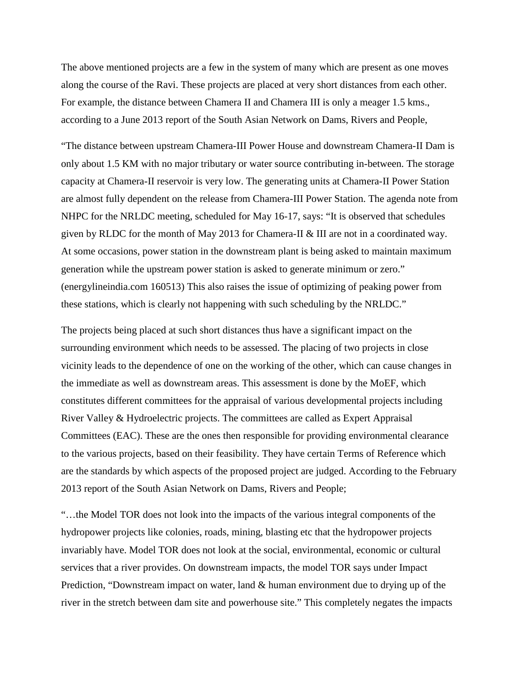The above mentioned projects are a few in the system of many which are present as one moves along the course of the Ravi. These projects are placed at very short distances from each other. For example, the distance between Chamera II and Chamera III is only a meager 1.5 kms., according to a June 2013 report of the South Asian Network on Dams, Rivers and People,

"The distance between upstream Chamera-III Power House and downstream Chamera-II Dam is only about 1.5 KM with no major tributary or water source contributing in-between. The storage capacity at Chamera-II reservoir is very low. The generating units at Chamera-II Power Station are almost fully dependent on the release from Chamera-III Power Station. The agenda note from NHPC for the NRLDC meeting, scheduled for May 16-17, says: "It is observed that schedules given by RLDC for the month of May 2013 for Chamera-II & III are not in a coordinated way. At some occasions, power station in the downstream plant is being asked to maintain maximum generation while the upstream power station is asked to generate minimum or zero." (energylineindia.com 160513) This also raises the issue of optimizing of peaking power from these stations, which is clearly not happening with such scheduling by the NRLDC."

The projects being placed at such short distances thus have a significant impact on the surrounding environment which needs to be assessed. The placing of two projects in close vicinity leads to the dependence of one on the working of the other, which can cause changes in the immediate as well as downstream areas. This assessment is done by the MoEF, which constitutes different committees for the appraisal of various developmental projects including River Valley & Hydroelectric projects. The committees are called as Expert Appraisal Committees (EAC). These are the ones then responsible for providing environmental clearance to the various projects, based on their feasibility. They have certain Terms of Reference which are the standards by which aspects of the proposed project are judged. According to the February 2013 report of the South Asian Network on Dams, Rivers and People;

"…the Model TOR does not look into the impacts of the various integral components of the hydropower projects like colonies, roads, mining, blasting etc that the hydropower projects invariably have. Model TOR does not look at the social, environmental, economic or cultural services that a river provides. On downstream impacts, the model TOR says under Impact Prediction, "Downstream impact on water, land & human environment due to drying up of the river in the stretch between dam site and powerhouse site." This completely negates the impacts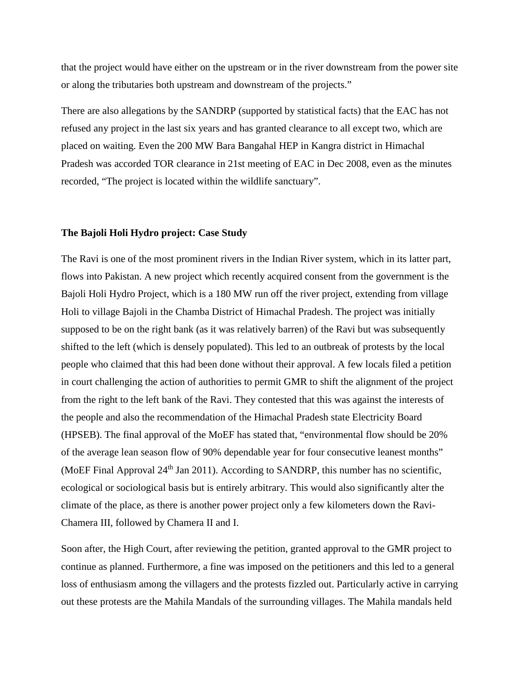that the project would have either on the upstream or in the river downstream from the power site or along the tributaries both upstream and downstream of the projects."

There are also allegations by the SANDRP (supported by statistical facts) that the EAC has not refused any project in the last six years and has granted clearance to all except two, which are placed on waiting. Even the 200 MW Bara Bangahal HEP in Kangra district in Himachal Pradesh was accorded TOR clearance in 21st meeting of EAC in Dec 2008, even as the minutes recorded, "The project is located within the wildlife sanctuary".

#### **The Bajoli Holi Hydro project: Case Study**

The Ravi is one of the most prominent rivers in the Indian River system, which in its latter part, flows into Pakistan. A new project which recently acquired consent from the government is the Bajoli Holi Hydro Project, which is a 180 MW run off the river project, extending from village Holi to village Bajoli in the Chamba District of Himachal Pradesh. The project was initially supposed to be on the right bank (as it was relatively barren) of the Ravi but was subsequently shifted to the left (which is densely populated). This led to an outbreak of protests by the local people who claimed that this had been done without their approval. A few locals filed a petition in court challenging the action of authorities to permit GMR to shift the alignment of the project from the right to the left bank of the Ravi. They contested that this was against the interests of the people and also the recommendation of the Himachal Pradesh state Electricity Board (HPSEB). The final approval of the MoEF has stated that, "environmental flow should be 20% of the average lean season flow of 90% dependable year for four consecutive leanest months" (MoEF Final Approval  $24<sup>th</sup>$  Jan 2011). According to SANDRP, this number has no scientific, ecological or sociological basis but is entirely arbitrary. This would also significantly alter the climate of the place, as there is another power project only a few kilometers down the Ravi-Chamera III, followed by Chamera II and I.

Soon after, the High Court, after reviewing the petition, granted approval to the GMR project to continue as planned. Furthermore, a fine was imposed on the petitioners and this led to a general loss of enthusiasm among the villagers and the protests fizzled out. Particularly active in carrying out these protests are the Mahila Mandals of the surrounding villages. The Mahila mandals held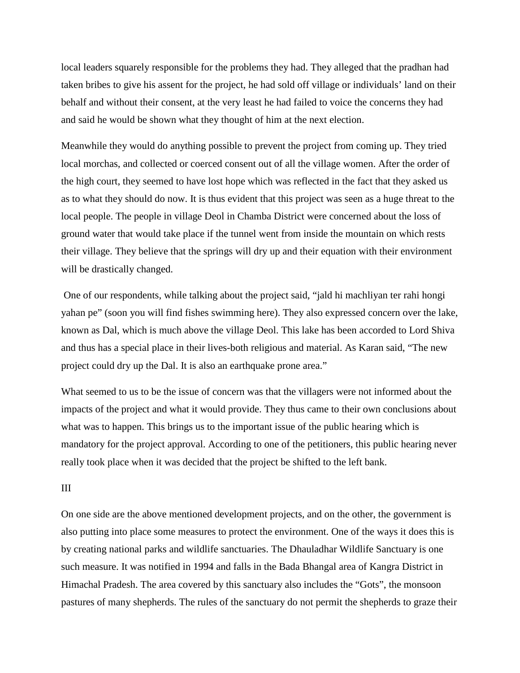local leaders squarely responsible for the problems they had. They alleged that the pradhan had taken bribes to give his assent for the project, he had sold off village or individuals' land on their behalf and without their consent, at the very least he had failed to voice the concerns they had and said he would be shown what they thought of him at the next election.

Meanwhile they would do anything possible to prevent the project from coming up. They tried local morchas, and collected or coerced consent out of all the village women. After the order of the high court, they seemed to have lost hope which was reflected in the fact that they asked us as to what they should do now. It is thus evident that this project was seen as a huge threat to the local people. The people in village Deol in Chamba District were concerned about the loss of ground water that would take place if the tunnel went from inside the mountain on which rests their village. They believe that the springs will dry up and their equation with their environment will be drastically changed.

One of our respondents, while talking about the project said, "jald hi machliyan ter rahi hongi yahan pe" (soon you will find fishes swimming here). They also expressed concern over the lake, known as Dal, which is much above the village Deol. This lake has been accorded to Lord Shiva and thus has a special place in their lives-both religious and material. As Karan said, "The new project could dry up the Dal. It is also an earthquake prone area."

What seemed to us to be the issue of concern was that the villagers were not informed about the impacts of the project and what it would provide. They thus came to their own conclusions about what was to happen. This brings us to the important issue of the public hearing which is mandatory for the project approval. According to one of the petitioners, this public hearing never really took place when it was decided that the project be shifted to the left bank.

#### III

On one side are the above mentioned development projects, and on the other, the government is also putting into place some measures to protect the environment. One of the ways it does this is by creating national parks and wildlife sanctuaries. The Dhauladhar Wildlife Sanctuary is one such measure. It was notified in 1994 and falls in the Bada Bhangal area of Kangra District in Himachal Pradesh. The area covered by this sanctuary also includes the "Gots", the monsoon pastures of many shepherds. The rules of the sanctuary do not permit the shepherds to graze their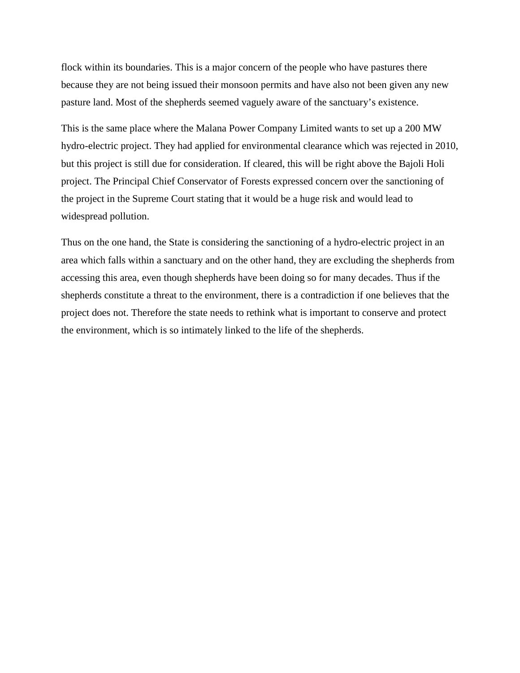flock within its boundaries. This is a major concern of the people who have pastures there because they are not being issued their monsoon permits and have also not been given any new pasture land. Most of the shepherds seemed vaguely aware of the sanctuary's existence.

This is the same place where the Malana Power Company Limited wants to set up a 200 MW hydro-electric project. They had applied for environmental clearance which was rejected in 2010, but this project is still due for consideration. If cleared, this will be right above the Bajoli Holi project. The Principal Chief Conservator of Forests expressed concern over the sanctioning of the project in the Supreme Court stating that it would be a huge risk and would lead to widespread pollution.

Thus on the one hand, the State is considering the sanctioning of a hydro-electric project in an area which falls within a sanctuary and on the other hand, they are excluding the shepherds from accessing this area, even though shepherds have been doing so for many decades. Thus if the shepherds constitute a threat to the environment, there is a contradiction if one believes that the project does not. Therefore the state needs to rethink what is important to conserve and protect the environment, which is so intimately linked to the life of the shepherds.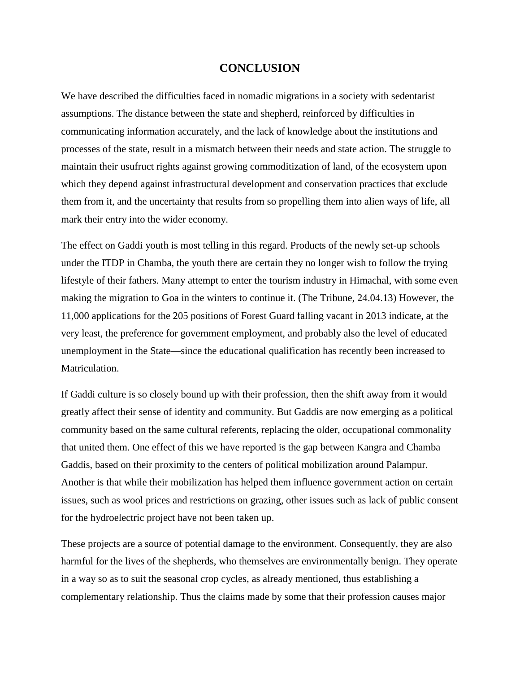#### **CONCLUSION**

We have described the difficulties faced in nomadic migrations in a society with sedentarist assumptions. The distance between the state and shepherd, reinforced by difficulties in communicating information accurately, and the lack of knowledge about the institutions and processes of the state, result in a mismatch between their needs and state action. The struggle to maintain their usufruct rights against growing commoditization of land, of the ecosystem upon which they depend against infrastructural development and conservation practices that exclude them from it, and the uncertainty that results from so propelling them into alien ways of life, all mark their entry into the wider economy.

The effect on Gaddi youth is most telling in this regard. Products of the newly set-up schools under the ITDP in Chamba, the youth there are certain they no longer wish to follow the trying lifestyle of their fathers. Many attempt to enter the tourism industry in Himachal, with some even making the migration to Goa in the winters to continue it. (The Tribune, 24.04.13) However, the 11,000 applications for the 205 positions of Forest Guard falling vacant in 2013 indicate, at the very least, the preference for government employment, and probably also the level of educated unemployment in the State—since the educational qualification has recently been increased to Matriculation.

If Gaddi culture is so closely bound up with their profession, then the shift away from it would greatly affect their sense of identity and community. But Gaddis are now emerging as a political community based on the same cultural referents, replacing the older, occupational commonality that united them. One effect of this we have reported is the gap between Kangra and Chamba Gaddis, based on their proximity to the centers of political mobilization around Palampur. Another is that while their mobilization has helped them influence government action on certain issues, such as wool prices and restrictions on grazing, other issues such as lack of public consent for the hydroelectric project have not been taken up.

These projects are a source of potential damage to the environment. Consequently, they are also harmful for the lives of the shepherds, who themselves are environmentally benign. They operate in a way so as to suit the seasonal crop cycles, as already mentioned, thus establishing a complementary relationship. Thus the claims made by some that their profession causes major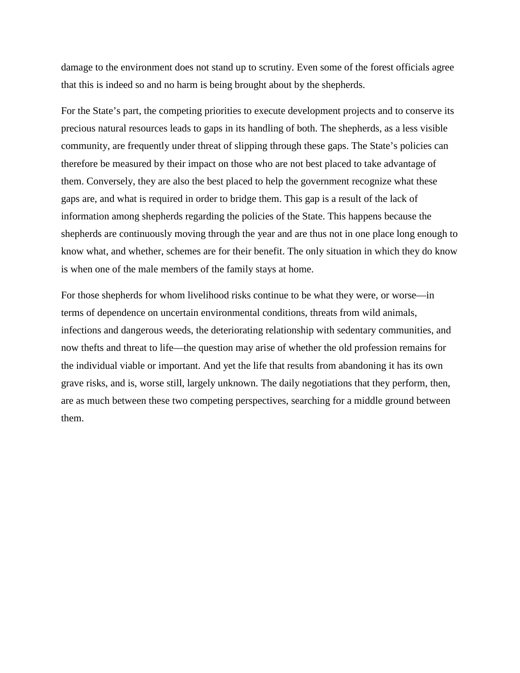damage to the environment does not stand up to scrutiny. Even some of the forest officials agree that this is indeed so and no harm is being brought about by the shepherds.

For the State's part, the competing priorities to execute development projects and to conserve its precious natural resources leads to gaps in its handling of both. The shepherds, as a less visible community, are frequently under threat of slipping through these gaps. The State's policies can therefore be measured by their impact on those who are not best placed to take advantage of them. Conversely, they are also the best placed to help the government recognize what these gaps are, and what is required in order to bridge them. This gap is a result of the lack of information among shepherds regarding the policies of the State. This happens because the shepherds are continuously moving through the year and are thus not in one place long enough to know what, and whether, schemes are for their benefit. The only situation in which they do know is when one of the male members of the family stays at home.

For those shepherds for whom livelihood risks continue to be what they were, or worse—in terms of dependence on uncertain environmental conditions, threats from wild animals, infections and dangerous weeds, the deteriorating relationship with sedentary communities, and now thefts and threat to life—the question may arise of whether the old profession remains for the individual viable or important. And yet the life that results from abandoning it has its own grave risks, and is, worse still, largely unknown. The daily negotiations that they perform, then, are as much between these two competing perspectives, searching for a middle ground between them.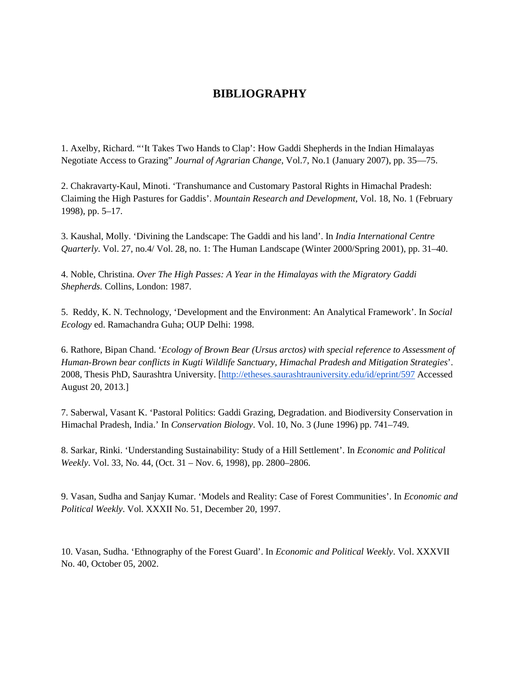### **BIBLIOGRAPHY**

1. Axelby, Richard. "'It Takes Two Hands to Clap': How Gaddi Shepherds in the Indian Himalayas Negotiate Access to Grazing" *Journal of Agrarian Change*, Vol.7, No.1 (January 2007), pp. 35—75.

2. Chakravarty-Kaul, Minoti. 'Transhumance and Customary Pastoral Rights in Himachal Pradesh: Claiming the High Pastures for Gaddis'. *Mountain Research and Development*, Vol. 18, No. 1 (February 1998), pp. 5–17.

3. Kaushal, Molly. 'Divining the Landscape: The Gaddi and his land'. In *India International Centre Quarterly*. Vol. 27, no.4/ Vol. 28, no. 1: The Human Landscape (Winter 2000/Spring 2001), pp. 31–40.

4. Noble, Christina. *Over The High Passes: A Year in the Himalayas with the Migratory Gaddi Shepherds.* Collins, London: 1987.

5. Reddy, K. N. Technology, 'Development and the Environment: An Analytical Framework'. In *Social Ecology* ed. Ramachandra Guha; OUP Delhi: 1998.

6. Rathore, Bipan Chand. '*Ecology of Brown Bear (Ursus arctos) with special reference to Assessment of Human-Brown bear conflicts in Kugti Wildlife Sanctuary, Himachal Pradesh and Mitigation Strategies*'. 2008, Thesis PhD, Saurashtra University. [\[http://etheses.saurashtrauniversity.edu/id/eprint/597](http://etheses.saurashtrauniversity.edu/id/eprint/597) Accessed August 20, 2013.]

7. Saberwal, Vasant K. 'Pastoral Politics: Gaddi Grazing, Degradation. and Biodiversity Conservation in Himachal Pradesh, India.' In *Conservation Biology*. Vol. 10, No. 3 (June 1996) pp. 741–749.

8. Sarkar, Rinki. 'Understanding Sustainability: Study of a Hill Settlement'. In *Economic and Political Weekly*. Vol. 33, No. 44, (Oct. 31 – Nov. 6, 1998), pp. 2800–2806.

9. Vasan, Sudha and Sanjay Kumar. 'Models and Reality: Case of Forest Communities'. In *Economic and Political Weekly*. Vol. XXXII No. 51, December 20, 1997.

10. Vasan, Sudha. 'Ethnography of the Forest Guard'. In *Economic and Political Weekly*. Vol. XXXVII No. 40, October 05, 2002.